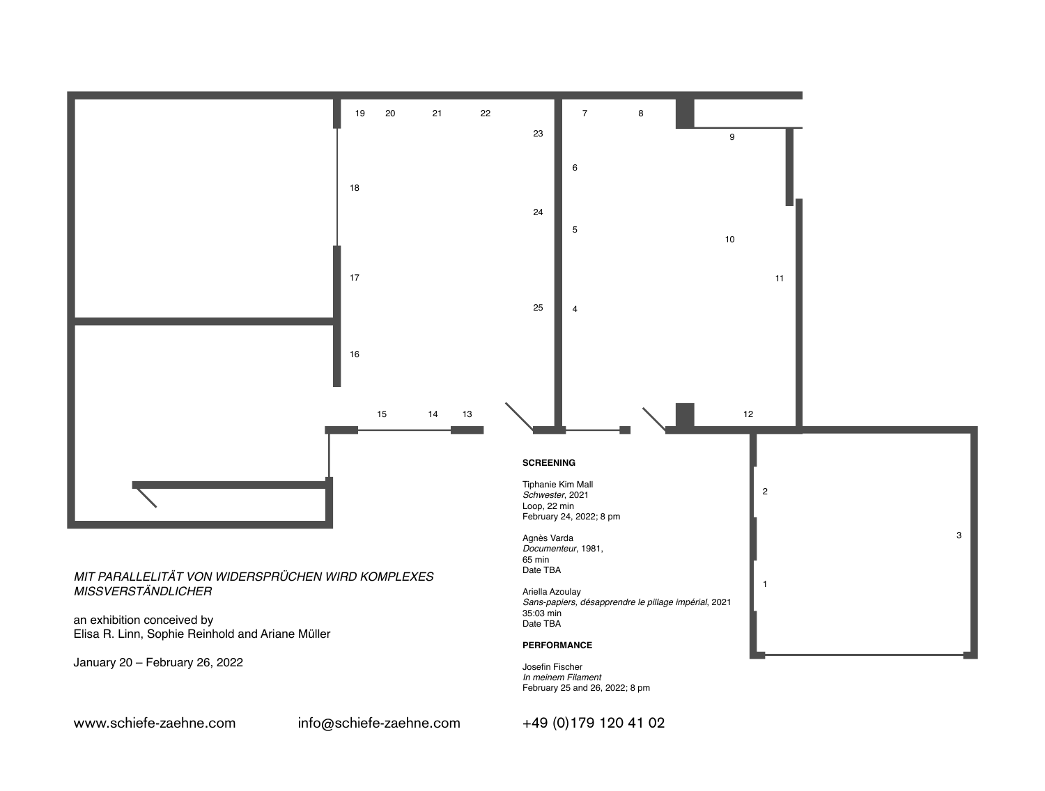

www.schiefe-zaehne.com info@schiefe-zaehne.com +49 (0)179 120 41 02